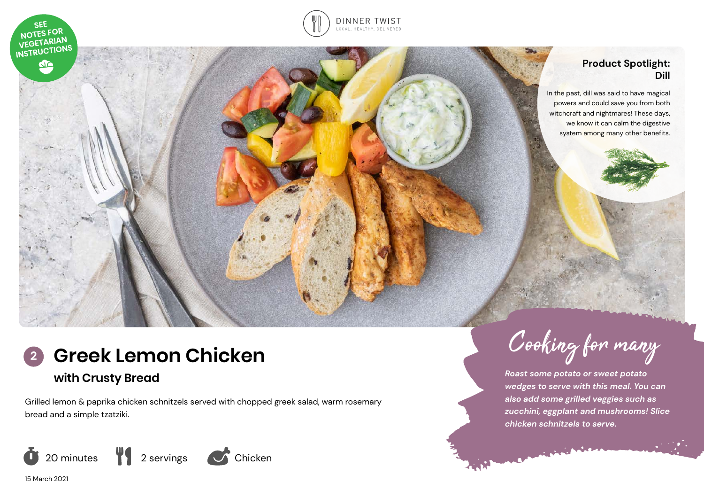



#### **Product Spotlight: Dill**

In the past, dill was said to have magical powers and could save you from both witchcraft and nightmares! These days, we know it can calm the digestive system among many other benefits.

# **Greek Lemon Chicken**

# **with Crusty Bread**

Grilled lemon & paprika chicken schnitzels served with chopped greek salad, warm rosemary bread and a simple tzatziki.



**<sup>2</sup>** Cooking for many

*Roast some potato or sweet potato wedges to serve with this meal. You can also add some grilled veggies such as zucchini, eggplant and mushrooms! Slice chicken schnitzels to serve.* 

15 March 2021